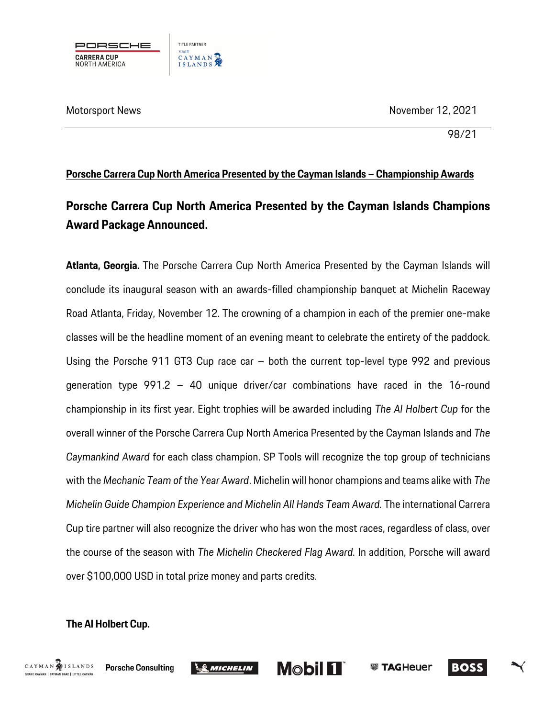Motorsport News November 12, 2021



98/21

## **Porsche Carrera Cup North America Presented by the Cayman Islands – Championship Awards**

## **Porsche Carrera Cup North America Presented by the Cayman Islands Champions Award Package Announced.**

**Atlanta, Georgia.** The Porsche Carrera Cup North America Presented by the Cayman Islands will conclude its inaugural season with an awards-filled championship banquet at Michelin Raceway Road Atlanta, Friday, November 12. The crowning of a champion in each of the premier one-make classes will be the headline moment of an evening meant to celebrate the entirety of the paddock. Using the Porsche 911 GT3 Cup race car – both the current top-level type 992 and previous generation type 991.2 – 40 unique driver/car combinations have raced in the 16-round championship in its first year. Eight trophies will be awarded including *The Al Holbert Cup* for the overall winner of the Porsche Carrera Cup North America Presented by the Cayman Islands and *The Caymankind Award* for each class champion. SP Tools will recognize the top group of technicians with the *Mechanic Team of the Year Award*. Michelin will honor champions and teams alike with *The Michelin Guide Champion Experience and Michelin All Hands Team Award.* The international Carrera Cup tire partner will also recognize the driver who has won the most races, regardless of class, over the course of the season with *The Michelin Checkered Flag Award.* In addition, Porsche will award over \$100,000 USD in total prize money and parts credits.

**Mobil 11** 

**SSI TAGHeuer** 

**BOSS** 

## **The Al Holbert Cup.**



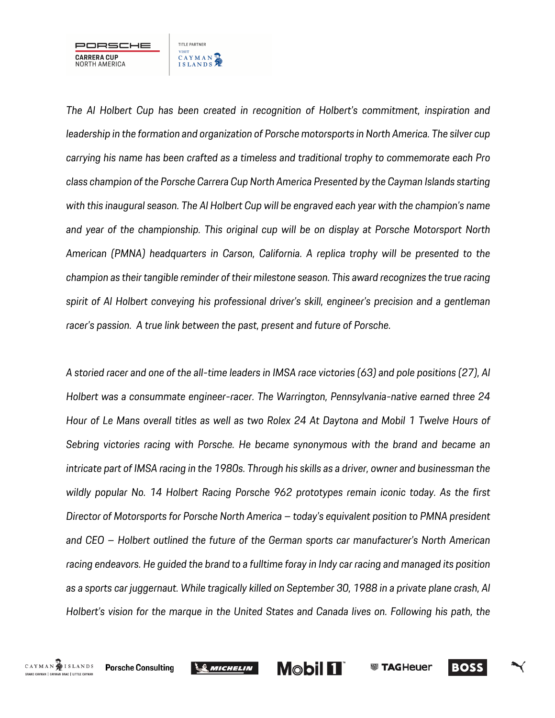

*The Al Holbert Cup has been created in recognition of Holbert's commitment, inspiration and leadership in the formation and organization of Porsche motorsports in North America. The silver cup carrying his name has been crafted as a timeless and traditional trophy to commemorate each Pro class champion of the Porsche Carrera Cup North America Presented by the Cayman Islands starting with this inaugural season. The Al Holbert Cup will be engraved each year with the champion's name and year of the championship. This original cup will be on display at Porsche Motorsport North American (PMNA) headquarters in Carson, California. A replica trophy will be presented to the champion as their tangible reminder of their milestone season. This award recognizes the true racing spirit of Al Holbert conveying his professional driver's skill, engineer's precision and a gentleman racer's passion. A true link between the past, present and future of Porsche.* 

*A storied racer and one of the all-time leaders in IMSA race victories (63) and pole positions (27), Al Holbert was a consummate engineer-racer. The Warrington, Pennsylvania-native earned three 24 Hour of Le Mans overall titles as well as two Rolex 24 At Daytona and Mobil 1 Twelve Hours of Sebring victories racing with Porsche. He became synonymous with the brand and became an intricate part of IMSA racing in the 1980s. Through his skills as a driver, owner and businessman the wildly popular No. 14 Holbert Racing Porsche 962 prototypes remain iconic today. As the first Director of Motorsports for Porsche North America – today's equivalent position to PMNA president and CEO – Holbert outlined the future of the German sports car manufacturer's North American racing endeavors. He guided the brand to a fulltime foray in Indy car racing and managed its position as a sports car juggernaut. While tragically killed on September 30, 1988 in a private plane crash, Al Holbert's vision for the marque in the United States and Canada lives on. Following his path, the* 





**BOSS**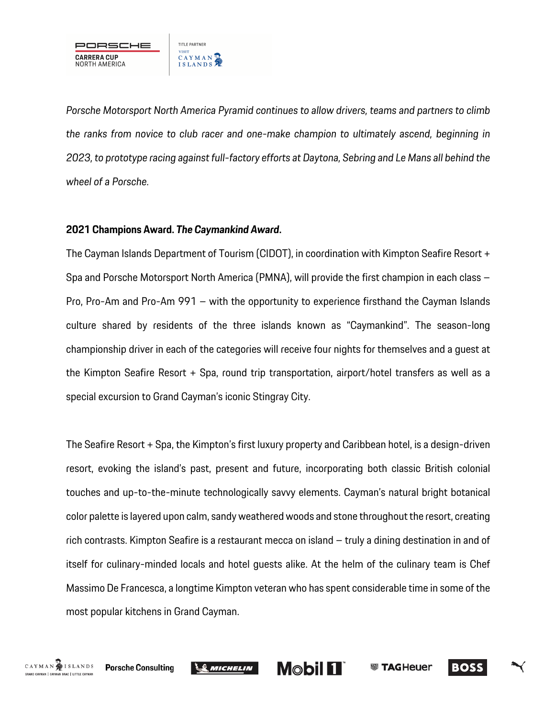

*Porsche Motorsport North America Pyramid continues to allow drivers, teams and partners to climb the ranks from novice to club racer and one-make champion to ultimately ascend, beginning in 2023, to prototype racing against full-factory efforts at Daytona, Sebring and Le Mans all behind the wheel of a Porsche.*

#### **2021 Champions Award.** *The Caymankind Award***.**

The Cayman Islands Department of Tourism (CIDOT), in coordination with Kimpton Seafire Resort + Spa and Porsche Motorsport North America (PMNA), will provide the first champion in each class – Pro, Pro-Am and Pro-Am 991 – with the opportunity to experience firsthand the Cayman Islands culture shared by residents of the three islands known as "Caymankind". The season-long championship driver in each of the categories will receive four nights for themselves and a guest at the Kimpton Seafire Resort + Spa, round trip transportation, airport/hotel transfers as well as a special excursion to Grand Cayman's iconic Stingray City.

The Seafire Resort + Spa, the Kimpton's first luxury property and Caribbean hotel, is a design-driven resort, evoking the island's past, present and future, incorporating both classic British colonial touches and up-to-the-minute technologically savvy elements. Cayman's natural bright botanical color palette is layered upon calm, sandy weatheredwoods and stone throughout the resort, creating rich contrasts. Kimpton Seafire is a restaurant mecca on island – truly a dining destination in and of itself for culinary-minded locals and hotel guests alike. At the helm of the culinary team is Chef Massimo De Francesca, a longtime Kimpton veteran who has spent considerable time in some of the most popular kitchens in Grand Cayman.





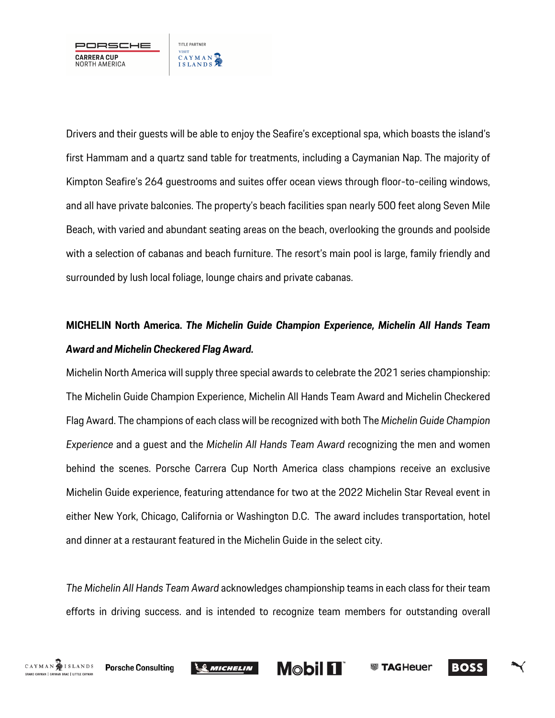

Drivers and their guests will be able to enjoy the Seafire's exceptional spa, which boasts the island's first Hammam and a quartz sand table for treatments, including a Caymanian Nap. The majority of Kimpton Seafire's 264 guestrooms and suites offer ocean views through floor-to-ceiling windows, and all have private balconies. The property's beach facilities span nearly 500 feet along Seven Mile Beach, with varied and abundant seating areas on the beach, overlooking the grounds and poolside with a selection of cabanas and beach furniture. The resort's main pool is large, family friendly and surrounded by lush local foliage, lounge chairs and private cabanas.

# **MICHELIN North America.** *The Michelin Guide Champion Experience, Michelin All Hands Team Award and Michelin Checkered Flag Award.*

Michelin North America will supply three special awards to celebrate the 2021 series championship: The Michelin Guide Champion Experience, Michelin All Hands Team Award and Michelin Checkered Flag Award. The champions of each class will be recognized with both The *Michelin Guide Champion Experience* and a guest and the *Michelin All Hands Team Award* recognizing the men and women behind the scenes. Porsche Carrera Cup North America class champions receive an exclusive Michelin Guide experience, featuring attendance for two at the 2022 Michelin Star Reveal event in either New York, Chicago, California or Washington D.C. The award includes transportation, hotel and dinner at a restaurant featured in the Michelin Guide in the select city.

*The Michelin All Hands Team Award* acknowledges championship teams in each class for their team efforts in driving success. and is intended to recognize team members for outstanding overall







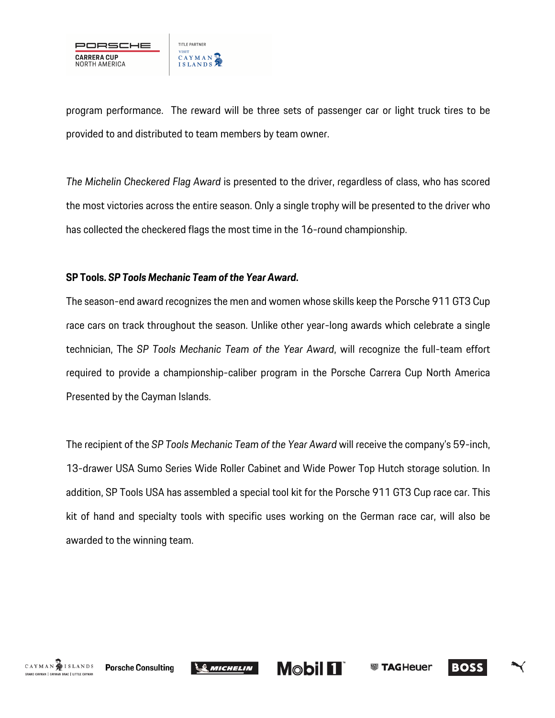

program performance. The reward will be three sets of passenger car or light truck tires to be provided to and distributed to team members by team owner.

*The Michelin Checkered Flag Award* is presented to the driver, regardless of class, who has scored the most victories across the entire season. Only a single trophy will be presented to the driver who has collected the checkered flags the most time in the 16-round championship.

#### **SP Tools.** *SP Tools Mechanic Team of the Year Award***.**

The season-end award recognizes the men and women whose skills keep the Porsche 911 GT3 Cup race cars on track throughout the season. Unlike other year-long awards which celebrate a single technician, The *SP Tools Mechanic Team of the Year Award*, will recognize the full-team effort required to provide a championship-caliber program in the Porsche Carrera Cup North America Presented by the Cayman Islands.

The recipient of the *SP Tools Mechanic Team of the Year Award* will receive the company's 59-inch, 13-drawer USA Sumo Series Wide Roller Cabinet and Wide Power Top Hutch storage solution. In addition, SP Tools USA has assembled a special tool kit for the Porsche 911 GT3 Cup race car. This kit of hand and specialty tools with specific uses working on the German race car, will also be awarded to the winning team.





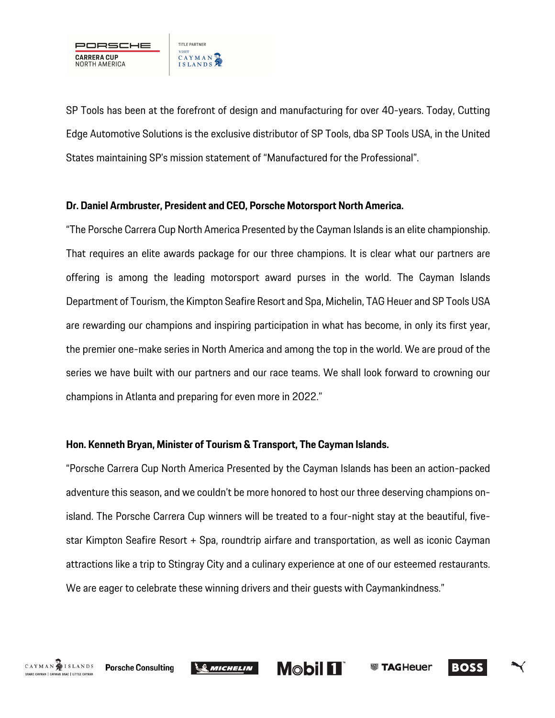

SP Tools has been at the forefront of design and manufacturing for over 40-years. Today, Cutting Edge Automotive Solutions is the exclusive distributor of SP Tools, dba SP Tools USA, in the United States maintaining SP's mission statement of "Manufactured for the Professional".

#### **Dr. Daniel Armbruster, President and CEO, Porsche Motorsport North America.**

"The Porsche Carrera Cup North America Presented by the Cayman Islands is an elite championship. That requires an elite awards package for our three champions. It is clear what our partners are offering is among the leading motorsport award purses in the world. The Cayman Islands Department of Tourism, the Kimpton Seafire Resort and Spa, Michelin, TAG Heuer and SP Tools USA are rewarding our champions and inspiring participation in what has become, in only its first year, the premier one-make series in North America and among the top in the world. We are proud of the series we have built with our partners and our race teams. We shall look forward to crowning our champions in Atlanta and preparing for even more in 2022."

## **Hon. Kenneth Bryan, Minister of Tourism & Transport, The Cayman Islands.**

"Porsche Carrera Cup North America Presented by the Cayman Islands has been an action-packed adventure this season, and we couldn't be more honored to host our three deserving champions onisland. The Porsche Carrera Cup winners will be treated to a four-night stay at the beautiful, fivestar Kimpton Seafire Resort + Spa, roundtrip airfare and transportation, as well as iconic Cayman attractions like a trip to Stingray City and a culinary experience at one of our esteemed restaurants. We are eager to celebrate these winning drivers and their guests with Caymankindness."





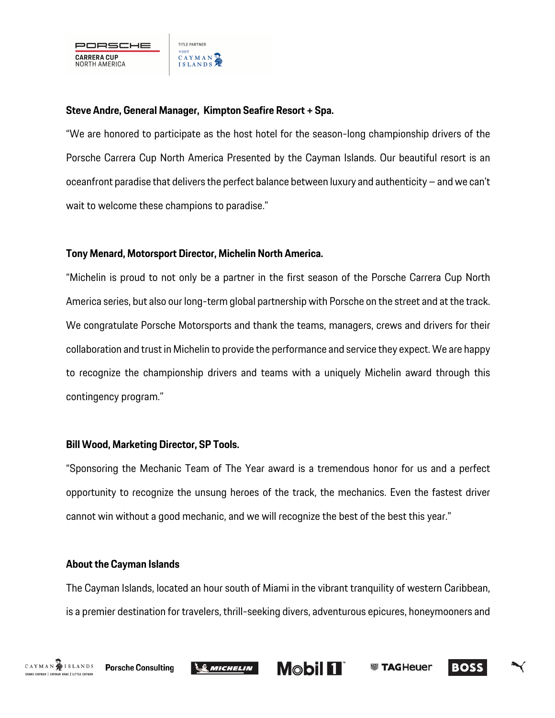#### **Steve Andre, General Manager, Kimpton Seafire Resort + Spa.**

"We are honored to participate as the host hotel for the season-long championship drivers of the Porsche Carrera Cup North America Presented by the Cayman Islands. Our beautiful resort is an oceanfront paradise that delivers the perfect balance between luxury and authenticity – and we can't wait to welcome these champions to paradise."

## **Tony Menard, Motorsport Director, Michelin North America.**

"Michelin is proud to not only be a partner in the first season of the Porsche Carrera Cup North America series, but also our long-term global partnership with Porsche on the street and at the track. We congratulate Porsche Motorsports and thank the teams, managers, crews and drivers for their collaboration and trust in Michelin to provide the performance and service they expect. We are happy to recognize the championship drivers and teams with a uniquely Michelin award through this contingency program."

## **Bill Wood, Marketing Director, SP Tools.**

"Sponsoring the Mechanic Team of The Year award is a tremendous honor for us and a perfect opportunity to recognize the unsung heroes of the track, the mechanics. Even the fastest driver cannot win without a good mechanic, and we will recognize the best of the best this year."

#### **About the Cayman Islands**

The Cayman Islands, located an hour south of Miami in the vibrant tranquility of western Caribbean, is a premier destination for travelers, thrill-seeking divers, adventurous epicures, honeymooners and





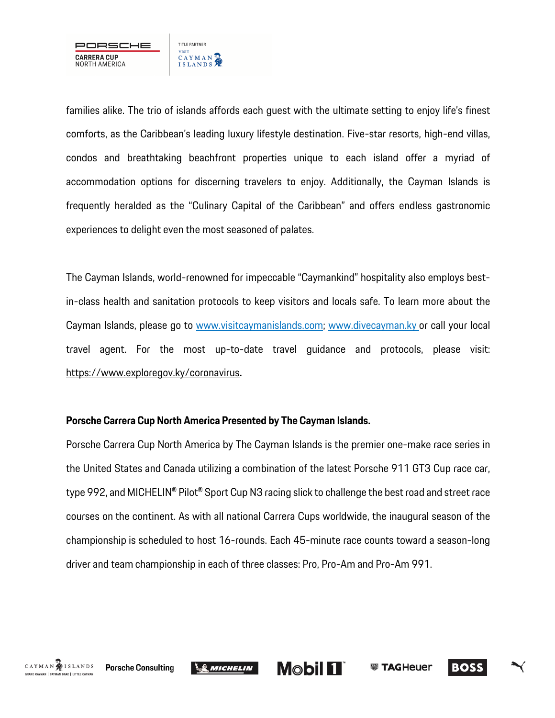

families alike. The trio of islands affords each guest with the ultimate setting to enjoy life's finest comforts, as the Caribbean's leading luxury lifestyle destination. Five-star resorts, high-end villas, condos and breathtaking beachfront properties unique to each island offer a myriad of accommodation options for discerning travelers to enjoy. Additionally, the Cayman Islands is frequently heralded as the "Culinary Capital of the Caribbean" and offers endless gastronomic experiences to delight even the most seasoned of palates.

The Cayman Islands, world-renowned for impeccable "Caymankind" hospitality also employs bestin-class health and sanitation protocols to keep visitors and locals safe. To learn more about the Cayman Islands, please go to www.visitcaymanislands.com; www.divecayman.ky or call your local travel agent. For the most up-to-date travel guidance and protocols, please visit: https://www.exploregov.ky/coronavirus**.**

#### **Porsche Carrera Cup North America Presented by The Cayman Islands.**

Porsche Carrera Cup North America by The Cayman Islands is the premier one-make race series in the United States and Canada utilizing a combination of the latest Porsche 911 GT3 Cup race car, type 992, and MICHELIN® Pilot® Sport Cup N3 racing slick to challenge the best road and street race courses on the continent. As with all national Carrera Cups worldwide, the inaugural season of the championship is scheduled to host 16-rounds. Each 45-minute race counts toward a season-long driver and team championship in each of three classes: Pro, Pro-Am and Pro-Am 991.